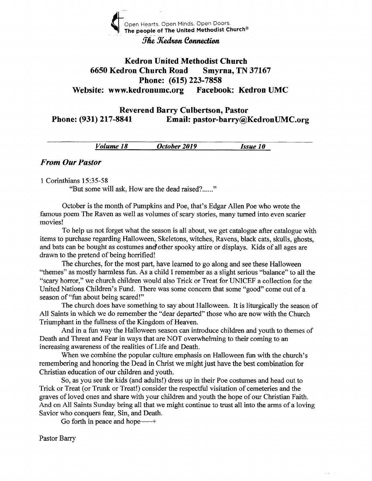

#### The Kedron Connection

# Kedron United Methodist Church <sup>6650</sup>Kedron Church Road Smyrna, TN <sup>37167</sup> Phone: (615) 223-7858 Website: www.kedronumc.org Facebook: Kedron UMC

Reverend Barry Culbertson, Pastor Phone: (931) 217-8841 Email: pastor-barry@KedronUMC.org

Volume 18 October 2019 Issue 10

#### From Our Pastor

#### 1 Corinthians 15:35-58

"But some will ask, How are the dead raised?......"

October is the month of Pumpkins and Poe, that's Edgar Allen Poe who wrote the famous poem The Raven as well as volumes of scary stories, many furned into even scarier movies!

To help us not forget what the season is all about, we get catalogue after catalogue with items to purchase regarding Halloween, Skeletons, witches, Ravens, black cats, skulls, ghosts, and bats can be bought as costumes and other spooky attire or displays. Kids of all ages are drawn to the pretend of being horrified!

The churches, for the most part, have learned to go along and see these Halloween "themes" as mostly harmless fun. As a child I remember as a slight serious "balance" to all the "scary horror," we church children would also Trick or Treat for UNICEF a collection for the United Nations Children's Fund. There was some concem that some "good" come out of a season of "fun about being scared!"

The church does have something to say about Halloween. It is liturgically the season of All Saints in which we do remember the "dear departed" those who are now with the Church Triumphant in the fullness of the Kingdom of Heaven.

And in a fun way the Halloween season can introduce children and youth to themes of Death and Threat and Fear in ways that are NOT overwhelming to their coming to an increasing awareness of the realities of Life and Death.

When we combine the popular culture emphasis on Halloween fun with the church's remembering and honoring the Dead in Christ we might just have the best combination for Christian education of our children and youth.

So, as you see the kids (and adults!) dress up in their Poe costumes and head out to Trick or Treat (or Trunk or Treat!) consider the respectful visitation of cemeteries and the graves of loved ones and share with your children and youth the hope of our Christian Faith. And on All Saints Sunday bring all that we might continue to trust al1 into the arms of a loving Savior who conquers fear, Sin, and Death.

Go forth in peace and hope $\sim$ +

Pastor Barry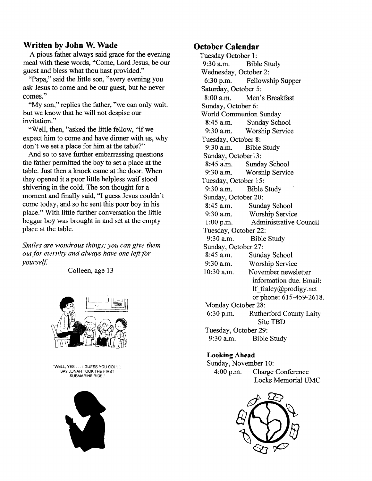## \ilritten by John W. Wade

A pious father always said grace for the evening meal with these words, "Come, Lord Jesus, be our guest and bless what thou hast provided."

"Papa," said the little son, "every evening you ask Jesus to come and be our guest, but he never comes."

"My son," replies the father, "we can only wait. but we knowthat he will not despise our invitation."

"Well, then, "asked the little fellow, "if we expect him to come and have dinner with us, why don't we set a place for him at the table?"

And so to save further embarrassing questions the father perrnitted the boy to set a place at the table. Just then a knock came at the door. When they opened it a poor little helpless waif stood shivering in the cold. The son thought for a moment and finally said, "I guess Jesus couldn't come today, and so he sent this poor boy in his place." With little further conversation the little beggar boy was brought in and set at the empty place at the table.

Smiles are wondrous things; you can give them out for eternity and always have one left for yourself.

Colleen, age 13



<sup>.</sup>WELL, YES... I GUESS YOU COIIi SAY JONAH TOOK THE FIRST SUBMARINE RIDE.



#### October Calendar

Tuesday October 1: 9:30 a.m. Bible Study Wednesday, October 2: 6:30 p.m. Fellowship Supper Saturday, October 5: 8:00 a.m. Men's Breakfast Sunday, October 6: World Communion Sunday 8:45 a.m. Sunday School 9:30 a.m. Worship Service Tuesday, October 8: 9:30 a.m. Bible Study Sunday, Octoberl3: 8:45 a.m. Sunday School 9:30 a.m. Worship Service Tuesday, October 15: 9:30 a.m. Bible Study Sunday, October 20: 8:45 a.m. Sunday School 9:30 a.m. Worship Service 1:00 p.m. Administrative Council Tuesday, October 22: 9:30 a.m. Bible Study Sunday, October 27: 8:45 a.m. Sunday School 9:30 a.m. Worship Service<br>10:30 a.m. November newsl November newsletter information due. Email: lf fraley@prodigy.net or phone: 615-459-2618. Monday October 28: 6:30 p.m. Rutherford Counfy Laity Site TBD Tuesday, October 29: 9:30 a.m. Bible Study

#### Looking Ahead

Sunday, November 10: 4:00 p.m. Charge Conference Locks Memorial UMC

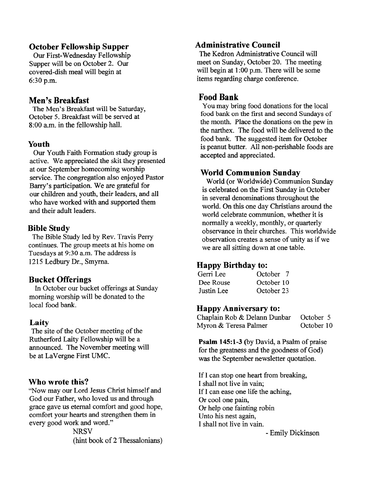# October Fellowship Supper

Our First-Wednesday Fellowship Supper will be on October 2. Our covered-dish meal will begin at 6:30 p.m.

## Men's Breakfast

The Men's Breakfast will be Saturday, October 5. Breakfast will be served at 8:00 a.m. in the fellowship hall.

#### Youth

Our Youth Faith Formation study group is active. We appreciated the skit they presented at our September homecoming worship service. The congregation also enjoyed Pastor Barry's participation. We are grateful for our children and youth, their leaders, and all who have worked with and supported them and their adult leaders.

## Bible Study

The Bible Study led by Rev. Travis Perry continues. The group meets at his home on Tuesdays at 9:3O a.m. The address is 1215 Ledbury Dr., Smyrna.

## Bucket Offerings

ln October our bucket offerings at Sunday moming worship will be donated to the local food bank.

#### Laity

The site of the October meeting of the Rutherford Laity Fellowship will be a announced. The November meeting will be at LaVergne First UMC.

#### Who wrote this?

"Now may our Lord Jesus Christ himself and God our Father, who loved us and through grace gave us eternal comfort and good hope, comfort your hearts and strengthen them in every good work and word."

> **NRSV** (hint book of 2 Thessalonians)

# Administrative Council

The Kedron Administrative Council will meet on Sunday, October 20. The meeting will begin at 1:00 p.m. There will be some items regarding charge conference.

# Food Bank

You may bring food donations for the local food bank on the first and second Sundays of the month. Place the donations on the pew in the narthex. The food will be delivered to the food bank. The suggested item for October is peanut butter. All non-perishable foods are accepted and appreciated.

## World Communion Sunday

World (or Worldwide) Communion Sunday is celebrated on the First Sunday in October in several denominations throughout the world. On this one day Christians around the world celebrate communion, whether it is normally a weekly, monthly, or quarterly observance in their churches. This worldwide observation creates a sense of unity as if we we are all sitting down at one table.

#### Happy Birthday to:

| Gerri Lee  | October 7  |
|------------|------------|
| Dee Rouse  | October 10 |
| Justin Lee | October 23 |

#### Happy Anniversary to:

| Chaplain Rob & Delann Dunbar | October 5  |
|------------------------------|------------|
| Myron & Teresa Palmer        | October 10 |

Psalm 145:1-3 (by David, a Psalm of praise for the greatness and the goodness of God) was the September newsletter quotation.

If I can stop one heart from breaking, I shall not live in vain; If I can ease one life the aching, Or cool one pain, Or help one fainting robin Unto his nest again, I shall not live in vain.

- Emily Dickinson